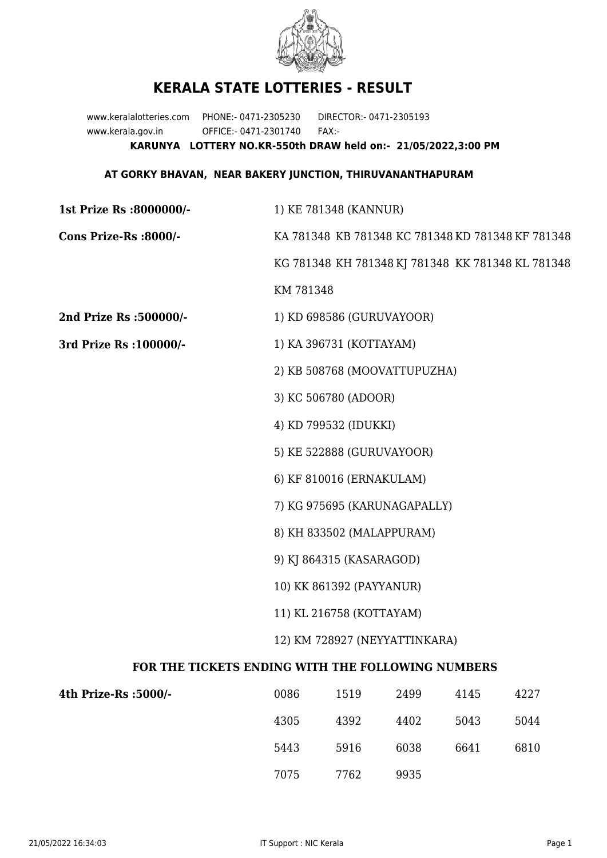

## **KERALA STATE LOTTERIES - RESULT**

www.keralalotteries.com PHONE:- 0471-2305230 DIRECTOR:- 0471-2305193 www.kerala.gov.in OFFICE:- 0471-2301740 FAX:- **KARUNYA LOTTERY NO.KR-550th DRAW held on:- 21/05/2022,3:00 PM**

## **AT GORKY BHAVAN, NEAR BAKERY JUNCTION, THIRUVANANTHAPURAM**

| 1st Prize Rs :8000000/-                           | 1) KE 781348 (KANNUR)                             |                              |      |      |                                                   |  |
|---------------------------------------------------|---------------------------------------------------|------------------------------|------|------|---------------------------------------------------|--|
| Cons Prize-Rs :8000/-                             | KA 781348 KB 781348 KC 781348 KD 781348 KF 781348 |                              |      |      |                                                   |  |
|                                                   |                                                   |                              |      |      | KG 781348 KH 781348 KJ 781348 KK 781348 KL 781348 |  |
|                                                   | KM 781348                                         |                              |      |      |                                                   |  |
| 2nd Prize Rs :500000/-                            |                                                   | 1) KD 698586 (GURUVAYOOR)    |      |      |                                                   |  |
| 3rd Prize Rs : 100000/-                           | 1) KA 396731 (KOTTAYAM)                           |                              |      |      |                                                   |  |
|                                                   | 2) KB 508768 (MOOVATTUPUZHA)                      |                              |      |      |                                                   |  |
|                                                   |                                                   | 3) KC 506780 (ADOOR)         |      |      |                                                   |  |
|                                                   |                                                   | 4) KD 799532 (IDUKKI)        |      |      |                                                   |  |
|                                                   |                                                   | 5) KE 522888 (GURUVAYOOR)    |      |      |                                                   |  |
|                                                   |                                                   | 6) KF 810016 (ERNAKULAM)     |      |      |                                                   |  |
|                                                   |                                                   | 7) KG 975695 (KARUNAGAPALLY) |      |      |                                                   |  |
|                                                   | 8) KH 833502 (MALAPPURAM)                         |                              |      |      |                                                   |  |
|                                                   | 9) KJ 864315 (KASARAGOD)                          |                              |      |      |                                                   |  |
|                                                   | 10) KK 861392 (PAYYANUR)                          |                              |      |      |                                                   |  |
|                                                   | 11) KL 216758 (KOTTAYAM)                          |                              |      |      |                                                   |  |
|                                                   | 12) KM 728927 (NEYYATTINKARA)                     |                              |      |      |                                                   |  |
| FOR THE TICKETS ENDING WITH THE FOLLOWING NUMBERS |                                                   |                              |      |      |                                                   |  |
| 4th Prize-Rs :5000/-                              | 0086                                              | 1519                         | 2499 | 4145 | 4227                                              |  |

| 4th Prize-Rs :5000/- | 0086 | 1519 | 2499 | 4145 | 4227 |
|----------------------|------|------|------|------|------|
|                      | 4305 | 4392 | 4402 | 5043 | 5044 |
|                      | 5443 | 5916 | 6038 | 6641 | 6810 |
|                      | 7075 | 7762 | 9935 |      |      |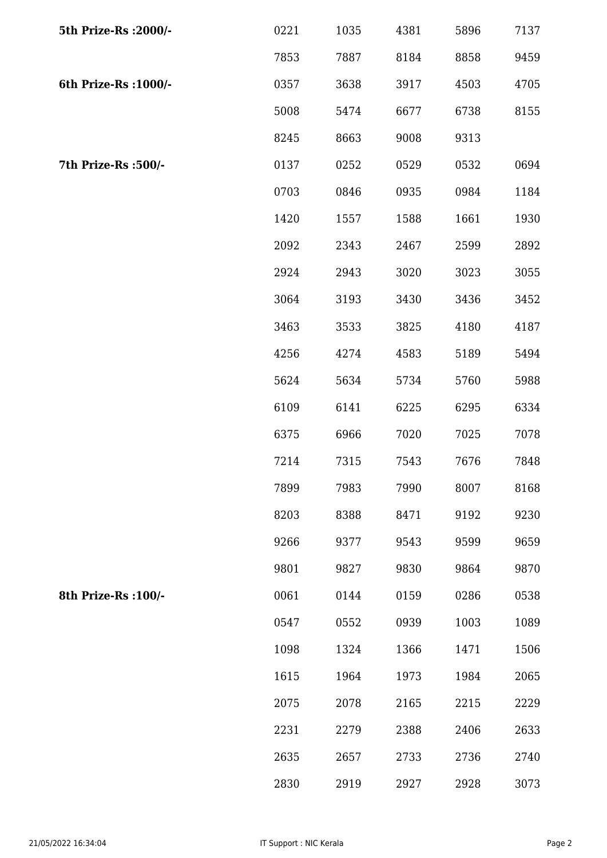| 5th Prize-Rs : 2000/- | 0221 | 1035 | 4381 | 5896 | 7137 |
|-----------------------|------|------|------|------|------|
|                       | 7853 | 7887 | 8184 | 8858 | 9459 |
| 6th Prize-Rs : 1000/- | 0357 | 3638 | 3917 | 4503 | 4705 |
|                       | 5008 | 5474 | 6677 | 6738 | 8155 |
|                       | 8245 | 8663 | 9008 | 9313 |      |
| 7th Prize-Rs : 500/-  | 0137 | 0252 | 0529 | 0532 | 0694 |
|                       | 0703 | 0846 | 0935 | 0984 | 1184 |
|                       | 1420 | 1557 | 1588 | 1661 | 1930 |
|                       | 2092 | 2343 | 2467 | 2599 | 2892 |
|                       | 2924 | 2943 | 3020 | 3023 | 3055 |
|                       | 3064 | 3193 | 3430 | 3436 | 3452 |
|                       | 3463 | 3533 | 3825 | 4180 | 4187 |
|                       | 4256 | 4274 | 4583 | 5189 | 5494 |
|                       | 5624 | 5634 | 5734 | 5760 | 5988 |
|                       | 6109 | 6141 | 6225 | 6295 | 6334 |
|                       | 6375 | 6966 | 7020 | 7025 | 7078 |
|                       | 7214 | 7315 | 7543 | 7676 | 7848 |
|                       | 7899 | 7983 | 7990 | 8007 | 8168 |
|                       | 8203 | 8388 | 8471 | 9192 | 9230 |
|                       | 9266 | 9377 | 9543 | 9599 | 9659 |
|                       | 9801 | 9827 | 9830 | 9864 | 9870 |
| 8th Prize-Rs : 100/-  | 0061 | 0144 | 0159 | 0286 | 0538 |
|                       | 0547 | 0552 | 0939 | 1003 | 1089 |
|                       | 1098 | 1324 | 1366 | 1471 | 1506 |
|                       | 1615 | 1964 | 1973 | 1984 | 2065 |
|                       | 2075 | 2078 | 2165 | 2215 | 2229 |
|                       | 2231 | 2279 | 2388 | 2406 | 2633 |
|                       | 2635 | 2657 | 2733 | 2736 | 2740 |
|                       | 2830 | 2919 | 2927 | 2928 | 3073 |